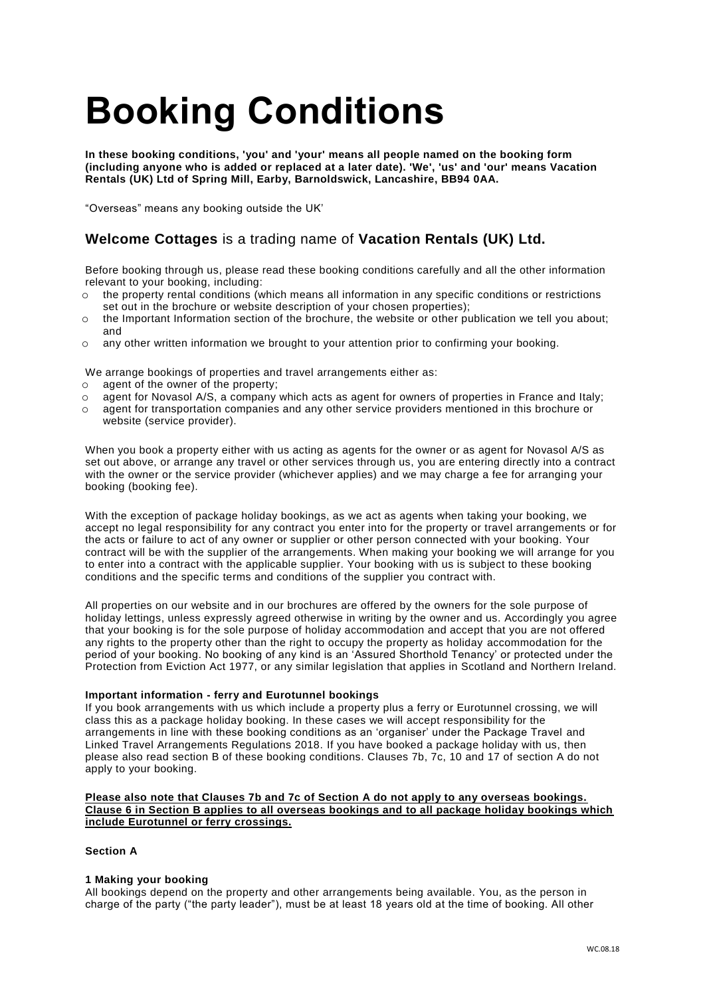# **Booking Conditions**

**In these booking conditions, 'you' and 'your' means all people named on the booking form (including anyone who is added or replaced at a later date). 'We', 'us' and 'our' means Vacation Rentals (UK) Ltd of Spring Mill, Earby, Barnoldswick, Lancashire, BB94 0AA.**

"Overseas" means any booking outside the UK'

# **Welcome Cottages** is a trading name of **Vacation Rentals (UK) Ltd.**

Before booking through us, please read these booking conditions carefully and all the other information relevant to your booking, including:

- $\circ$  the property rental conditions (which means all information in any specific conditions or restrictions set out in the brochure or website description of your chosen properties);
- $\circ$  the Important Information section of the brochure, the website or other publication we tell you about: and
- o any other written information we brought to your attention prior to confirming your booking.
- We arrange bookings of properties and travel arrangements either as:
- o agent of the owner of the property;
- o agent for Novasol A/S, a company which acts as agent for owners of properties in France and Italy;
- o agent for transportation companies and any other service providers mentioned in this brochure or website (service provider).

When you book a property either with us acting as agents for the owner or as agent for Novasol A/S as set out above, or arrange any travel or other services through us, you are entering directly into a contract with the owner or the service provider (whichever applies) and we may charge a fee for arranging your booking (booking fee).

With the exception of package holiday bookings, as we act as agents when taking your booking, we accept no legal responsibility for any contract you enter into for the property or travel arrangements or for the acts or failure to act of any owner or supplier or other person connected with your booking. Your contract will be with the supplier of the arrangements. When making your booking we will arrange for you to enter into a contract with the applicable supplier. Your booking with us is subject to these booking conditions and the specific terms and conditions of the supplier you contract with.

All properties on our website and in our brochures are offered by the owners for the sole purpose of holiday lettings, unless expressly agreed otherwise in writing by the owner and us. Accordingly you agree that your booking is for the sole purpose of holiday accommodation and accept that you are not offered any rights to the property other than the right to occupy the property as holiday accommodation for the period of your booking. No booking of any kind is an 'Assured Shorthold Tenancy' or protected under the Protection from Eviction Act 1977, or any similar legislation that applies in Scotland and Northern Ireland.

# **Important information - ferry and Eurotunnel bookings**

If you book arrangements with us which include a property plus a ferry or Eurotunnel crossing, we will class this as a package holiday booking. In these cases we will accept responsibility for the arrangements in line with these booking conditions as an 'organiser' under the Package Travel and Linked Travel Arrangements Regulations 2018. If you have booked a package holiday with us, then please also read section B of these booking conditions. Clauses 7b, 7c, 10 and 17 of section A do not apply to your booking.

#### **Please also note that Clauses 7b and 7c of Section A do not apply to any overseas bookings. Clause 6 in Section B applies to all overseas bookings and to all package holiday bookings which include Eurotunnel or ferry crossings.**

# **Section A**

# **1 Making your booking**

All bookings depend on the property and other arrangements being available. You, as the person in charge of the party ("the party leader"), must be at least 18 years old at the time of booking. All other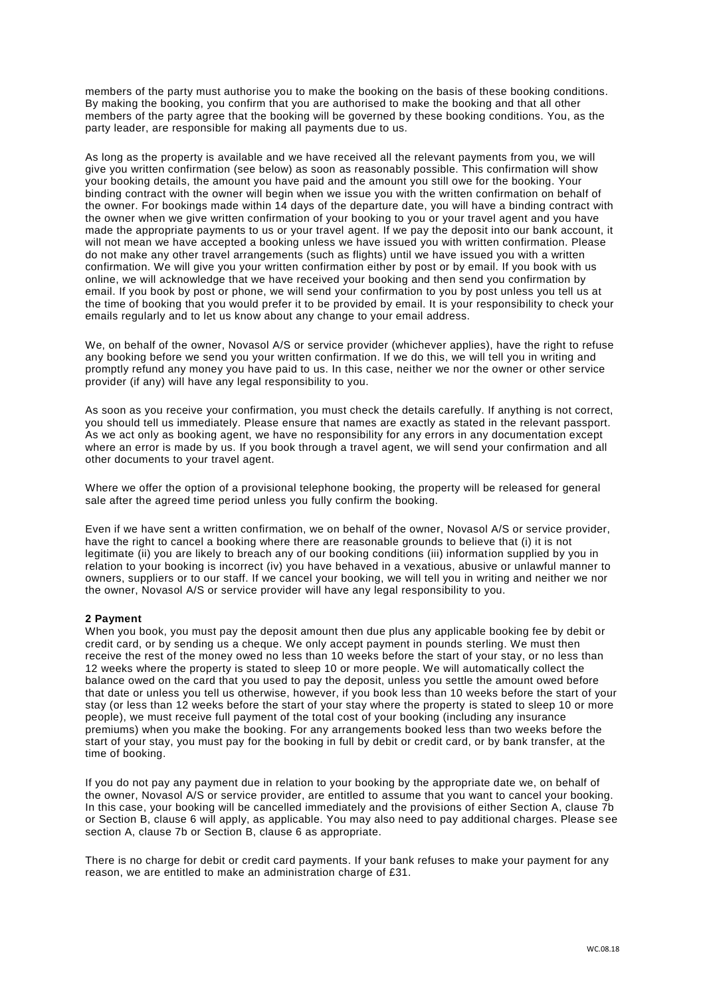members of the party must authorise you to make the booking on the basis of these booking conditions. By making the booking, you confirm that you are authorised to make the booking and that all other members of the party agree that the booking will be governed by these booking conditions. You, as the party leader, are responsible for making all payments due to us.

As long as the property is available and we have received all the relevant payments from you, we will give you written confirmation (see below) as soon as reasonably possible. This confirmation will show your booking details, the amount you have paid and the amount you still owe for the booking. Your binding contract with the owner will begin when we issue you with the written confirmation on behalf of the owner. For bookings made within 14 days of the departure date, you will have a binding contract with the owner when we give written confirmation of your booking to you or your travel agent and you have made the appropriate payments to us or your travel agent. If we pay the deposit into our bank account, it will not mean we have accepted a booking unless we have issued you with written confirmation. Please do not make any other travel arrangements (such as flights) until we have issued you with a written confirmation. We will give you your written confirmation either by post or by email. If you book with us online, we will acknowledge that we have received your booking and then send you confirmation by email. If you book by post or phone, we will send your confirmation to you by post unless you tell us at the time of booking that you would prefer it to be provided by email. It is your responsibility to check your emails regularly and to let us know about any change to your email address.

We, on behalf of the owner, Novasol A/S or service provider (whichever applies), have the right to refuse any booking before we send you your written confirmation. If we do this, we will tell you in writing and promptly refund any money you have paid to us. In this case, neither we nor the owner or other service provider (if any) will have any legal responsibility to you.

As soon as you receive your confirmation, you must check the details carefully. If anything is not correct, you should tell us immediately. Please ensure that names are exactly as stated in the relevant passport. As we act only as booking agent, we have no responsibility for any errors in any documentation except where an error is made by us. If you book through a travel agent, we will send your confirmation and all other documents to your travel agent.

Where we offer the option of a provisional telephone booking, the property will be released for general sale after the agreed time period unless you fully confirm the booking.

Even if we have sent a written confirmation, we on behalf of the owner, Novasol A/S or service provider, have the right to cancel a booking where there are reasonable grounds to believe that (i) it is not legitimate (ii) you are likely to breach any of our booking conditions (iii) information supplied by you in relation to your booking is incorrect (iv) you have behaved in a vexatious, abusive or unlawful manner to owners, suppliers or to our staff. If we cancel your booking, we will tell you in writing and neither we nor the owner, Novasol A/S or service provider will have any legal responsibility to you.

# **2 Payment**

When you book, you must pay the deposit amount then due plus any applicable booking fee by debit or credit card, or by sending us a cheque. We only accept payment in pounds sterling. We must then receive the rest of the money owed no less than 10 weeks before the start of your stay, or no less than 12 weeks where the property is stated to sleep 10 or more people. We will automatically collect the balance owed on the card that you used to pay the deposit, unless you settle the amount owed before that date or unless you tell us otherwise, however, if you book less than 10 weeks before the start of your stay (or less than 12 weeks before the start of your stay where the property is stated to sleep 10 or more people), we must receive full payment of the total cost of your booking (including any insurance premiums) when you make the booking. For any arrangements booked less than two weeks before the start of your stay, you must pay for the booking in full by debit or credit card, or by bank transfer, at the time of booking.

If you do not pay any payment due in relation to your booking by the appropriate date we, on behalf of the owner, Novasol A/S or service provider, are entitled to assume that you want to cancel your booking. In this case, your booking will be cancelled immediately and the provisions of either Section A, clause 7b or Section B, clause 6 will apply, as applicable. You may also need to pay additional charges. Please see section A, clause 7b or Section B, clause 6 as appropriate.

There is no charge for debit or credit card payments. If your bank refuses to make your payment for any reason, we are entitled to make an administration charge of £31.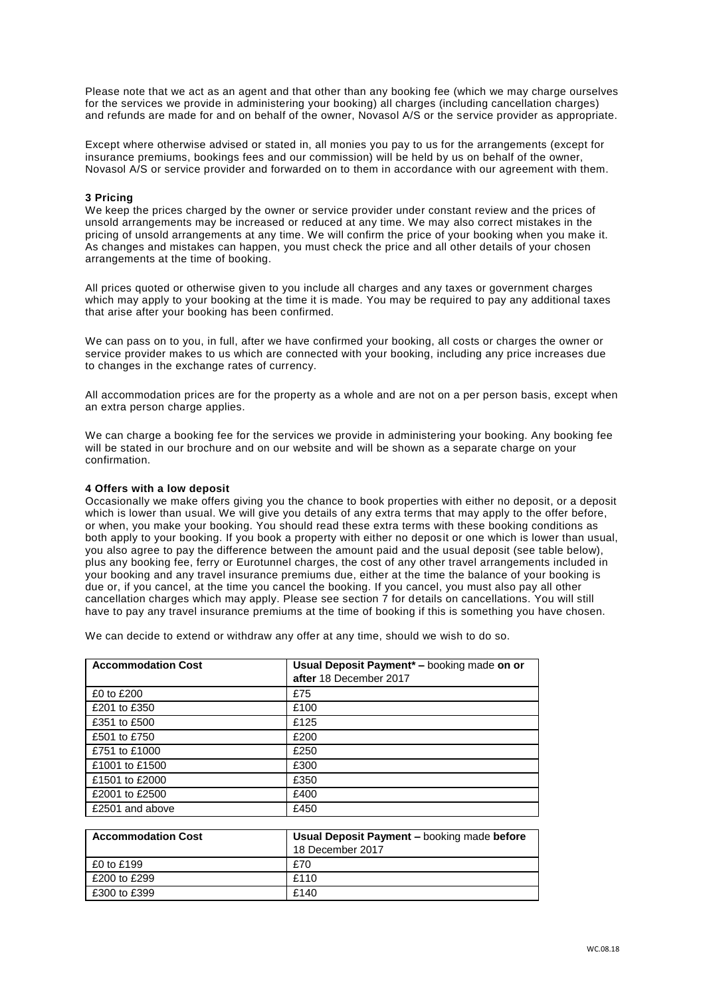Please note that we act as an agent and that other than any booking fee (which we may charge ourselves for the services we provide in administering your booking) all charges (including cancellation charges) and refunds are made for and on behalf of the owner, Novasol A/S or the service provider as appropriate.

Except where otherwise advised or stated in, all monies you pay to us for the arrangements (except for insurance premiums, bookings fees and our commission) will be held by us on behalf of the owner, Novasol A/S or service provider and forwarded on to them in accordance with our agreement with them.

# **3 Pricing**

We keep the prices charged by the owner or service provider under constant review and the prices of unsold arrangements may be increased or reduced at any time. We may also correct mistakes in the pricing of unsold arrangements at any time. We will confirm the price of your booking when you make it. As changes and mistakes can happen, you must check the price and all other details of your chosen arrangements at the time of booking.

All prices quoted or otherwise given to you include all charges and any taxes or government charges which may apply to your booking at the time it is made. You may be required to pay any additional taxes that arise after your booking has been confirmed.

We can pass on to you, in full, after we have confirmed your booking, all costs or charges the owner or service provider makes to us which are connected with your booking, including any price increases due to changes in the exchange rates of currency.

All accommodation prices are for the property as a whole and are not on a per person basis, except when an extra person charge applies.

We can charge a booking fee for the services we provide in administering your booking. Any booking fee will be stated in our brochure and on our website and will be shown as a separate charge on your confirmation.

#### **4 Offers with a low deposit**

Occasionally we make offers giving you the chance to book properties with either no deposit, or a deposit which is lower than usual. We will give you details of any extra terms that may apply to the offer before, or when, you make your booking. You should read these extra terms with these booking conditions as both apply to your booking. If you book a property with either no deposit or one which is lower than usual, you also agree to pay the difference between the amount paid and the usual deposit (see table below), plus any booking fee, ferry or Eurotunnel charges, the cost of any other travel arrangements included in your booking and any travel insurance premiums due, either at the time the balance of your booking is due or, if you cancel, at the time you cancel the booking. If you cancel, you must also pay all other cancellation charges which may apply. Please see section 7 for details on cancellations. You will still have to pay any travel insurance premiums at the time of booking if this is something you have chosen.

We can decide to extend or withdraw any offer at any time, should we wish to do so.

| <b>Accommodation Cost</b> | Usual Deposit Payment* - booking made on or |
|---------------------------|---------------------------------------------|
|                           | after 18 December 2017                      |
| £0 to £200                | £75                                         |
| £201 to £350              | £100                                        |
| £351 to £500              | £125                                        |
| £501 to £750              | £200                                        |
| £751 to £1000             | £250                                        |
| £1001 to £1500            | £300                                        |
| £1501 to £2000            | £350                                        |
| £2001 to £2500            | £400                                        |
| £2501 and above           | £450                                        |

| <b>Accommodation Cost</b> | Usual Deposit Payment - booking made before<br>18 December 2017 |
|---------------------------|-----------------------------------------------------------------|
| £0 to £199                | £70                                                             |
| £200 to £299              | £110                                                            |
| £300 to £399              | £140                                                            |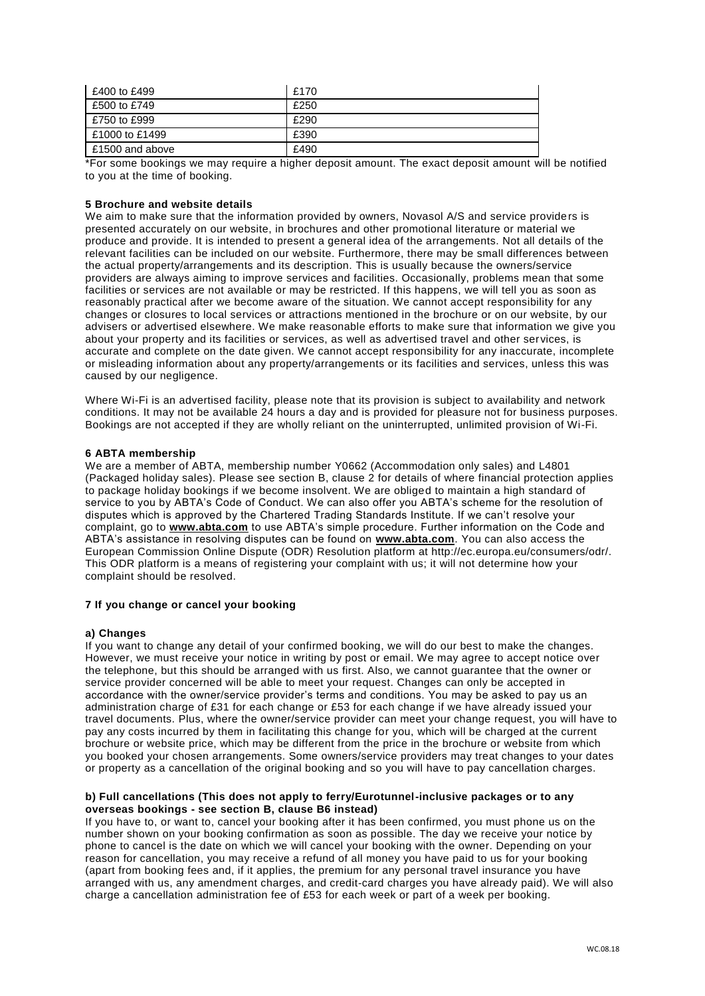| £400 to £499    | £170 |
|-----------------|------|
| £500 to £749    | £250 |
| £750 to £999    | £290 |
| £1000 to £1499  | £390 |
| £1500 and above | £490 |

\*For some bookings we may require a higher deposit amount. The exact deposit amount will be notified to you at the time of booking.

# **5 Brochure and website details**

We aim to make sure that the information provided by owners, Novasol A/S and service providers is presented accurately on our website, in brochures and other promotional literature or material we produce and provide. It is intended to present a general idea of the arrangements. Not all details of the relevant facilities can be included on our website. Furthermore, there may be small differences between the actual property/arrangements and its description. This is usually because the owners/service providers are always aiming to improve services and facilities. Occasionally, problems mean that some facilities or services are not available or may be restricted. If this happens, we will tell you as soon as reasonably practical after we become aware of the situation. We cannot accept responsibility for any changes or closures to local services or attractions mentioned in the brochure or on our website, by our advisers or advertised elsewhere. We make reasonable efforts to make sure that information we give you about your property and its facilities or services, as well as advertised travel and other ser vices, is accurate and complete on the date given. We cannot accept responsibility for any inaccurate, incomplete or misleading information about any property/arrangements or its facilities and services, unless this was caused by our negligence.

Where Wi-Fi is an advertised facility, please note that its provision is subject to availability and network conditions. It may not be available 24 hours a day and is provided for pleasure not for business purposes. Bookings are not accepted if they are wholly reliant on the uninterrupted, unlimited provision of Wi-Fi.

# **6 ABTA membership**

We are a member of ABTA, membership number Y0662 (Accommodation only sales) and L4801 (Packaged holiday sales). Please see section B, clause 2 for details of where financial protection applies to package holiday bookings if we become insolvent. We are obliged to maintain a high standard of service to you by ABTA's Code of Conduct. We can also offer you ABTA's scheme for the resolution of disputes which is approved by the Chartered Trading Standards Institute. If we can't resolve your complaint, go to **[www.abta.com](http://www.abta.com/)** to use ABTA's simple procedure. Further information on the Code and ABTA's assistance in resolving disputes can be found on **[www.abta.com](http://www.abta.com/)**. You can also access the European Commission Online Dispute (ODR) Resolution platform at http://ec.europa.eu/consumers/odr/. This ODR platform is a means of registering your complaint with us; it will not determine how your complaint should be resolved.

# **7 If you change or cancel your booking**

# **a) Changes**

If you want to change any detail of your confirmed booking, we will do our best to make the changes. However, we must receive your notice in writing by post or email. We may agree to accept notice over the telephone, but this should be arranged with us first. Also, we cannot guarantee that the owner or service provider concerned will be able to meet your request. Changes can only be accepted in accordance with the owner/service provider's terms and conditions. You may be asked to pay us an administration charge of £31 for each change or £53 for each change if we have already issued your travel documents. Plus, where the owner/service provider can meet your change request, you will have to pay any costs incurred by them in facilitating this change for you, which will be charged at the current brochure or website price, which may be different from the price in the brochure or website from which you booked your chosen arrangements. Some owners/service providers may treat changes to your dates or property as a cancellation of the original booking and so you will have to pay cancellation charges.

# **b) Full cancellations (This does not apply to ferry/Eurotunnel-inclusive packages or to any overseas bookings - see section B, clause B6 instead)**

If you have to, or want to, cancel your booking after it has been confirmed, you must phone us on the number shown on your booking confirmation as soon as possible. The day we receive your notice by phone to cancel is the date on which we will cancel your booking with the owner. Depending on your reason for cancellation, you may receive a refund of all money you have paid to us for your booking (apart from booking fees and, if it applies, the premium for any personal travel insurance you have arranged with us, any amendment charges, and credit-card charges you have already paid). We will also charge a cancellation administration fee of £53 for each week or part of a week per booking.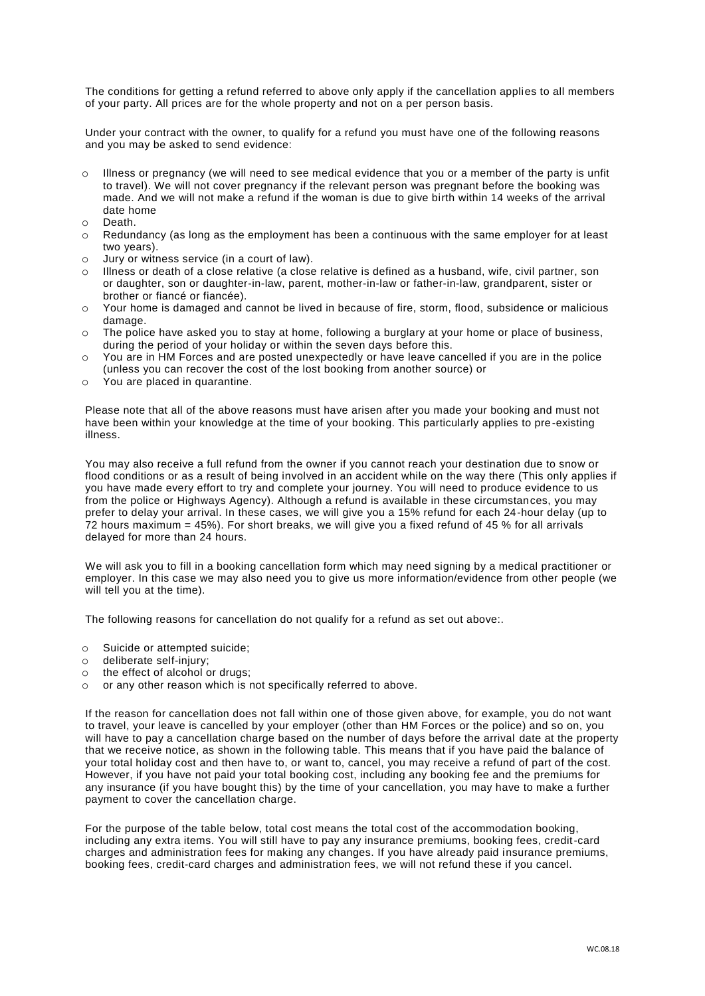The conditions for getting a refund referred to above only apply if the cancellation applies to all members of your party. All prices are for the whole property and not on a per person basis.

Under your contract with the owner, to qualify for a refund you must have one of the following reasons and you may be asked to send evidence:

- o Illness or pregnancy (we will need to see medical evidence that you or a member of the party is unfit to travel). We will not cover pregnancy if the relevant person was pregnant before the booking was made. And we will not make a refund if the woman is due to give birth within 14 weeks of the arrival date home
- o Death.
- o Redundancy (as long as the employment has been a continuous with the same employer for at least two years).
- o Jury or witness service (in a court of law).
- o Illness or death of a close relative (a close relative is defined as a husband, wife, civil partner, son or daughter, son or daughter-in-law, parent, mother-in-law or father-in-law, grandparent, sister or brother or fiancé or fiancée).
- o Your home is damaged and cannot be lived in because of fire, storm, flood, subsidence or malicious damage.
- $\circ$  The police have asked you to stay at home, following a burglary at your home or place of business. during the period of your holiday or within the seven days before this.
- o You are in HM Forces and are posted unexpectedly or have leave cancelled if you are in the police (unless you can recover the cost of the lost booking from another source) or
- o You are placed in quarantine.

Please note that all of the above reasons must have arisen after you made your booking and must not have been within your knowledge at the time of your booking. This particularly applies to pre-existing illness.

You may also receive a full refund from the owner if you cannot reach your destination due to snow or flood conditions or as a result of being involved in an accident while on the way there (This only applies if you have made every effort to try and complete your journey. You will need to produce evidence to us from the police or Highways Agency). Although a refund is available in these circumstances, you may prefer to delay your arrival. In these cases, we will give you a 15% refund for each 24-hour delay (up to 72 hours maximum = 45%). For short breaks, we will give you a fixed refund of 45 % for all arrivals delayed for more than 24 hours.

We will ask you to fill in a booking cancellation form which may need signing by a medical practitioner or employer. In this case we may also need you to give us more information/evidence from other people (we will tell you at the time).

The following reasons for cancellation do not qualify for a refund as set out above:.

- o Suicide or attempted suicide;
- o deliberate self-injury;
- o the effect of alcohol or drugs;
- o or any other reason which is not specifically referred to above.

If the reason for cancellation does not fall within one of those given above, for example, you do not want to travel, your leave is cancelled by your employer (other than HM Forces or the police) and so on, you will have to pay a cancellation charge based on the number of days before the arrival date at the property that we receive notice, as shown in the following table. This means that if you have paid the balance of your total holiday cost and then have to, or want to, cancel, you may receive a refund of part of the cost. However, if you have not paid your total booking cost, including any booking fee and the premiums for any insurance (if you have bought this) by the time of your cancellation, you may have to make a further payment to cover the cancellation charge.

For the purpose of the table below, total cost means the total cost of the accommodation booking, including any extra items. You will still have to pay any insurance premiums, booking fees, credit-card charges and administration fees for making any changes. If you have already paid insurance premiums, booking fees, credit-card charges and administration fees, we will not refund these if you cancel.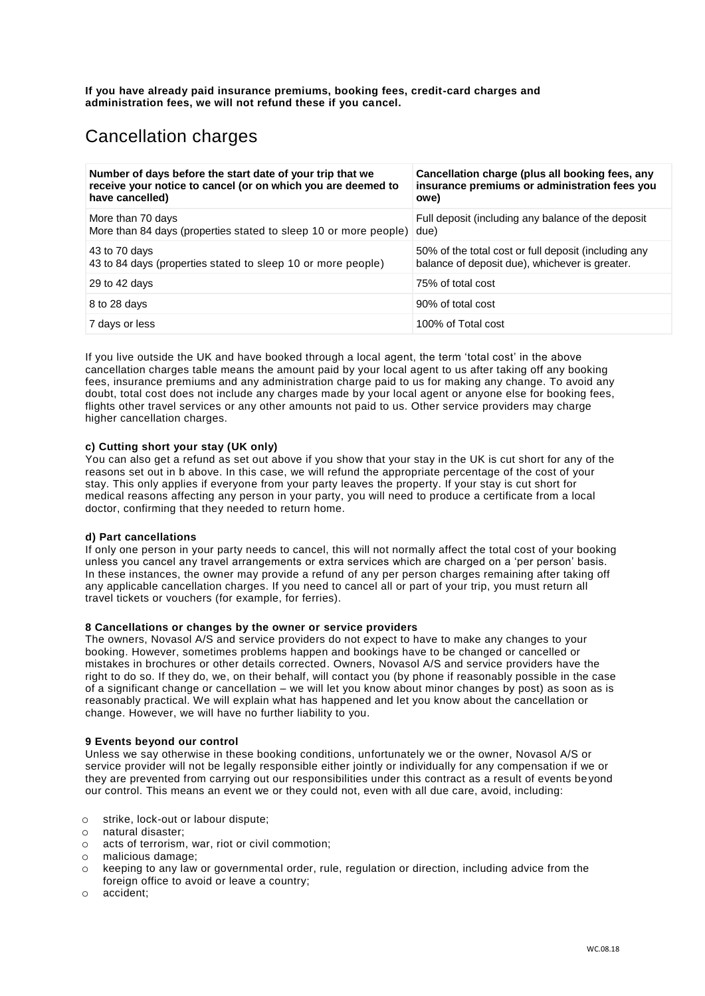**If you have already paid insurance premiums, booking fees, credit-card charges and administration fees, we will not refund these if you cancel.**

# Cancellation charges

| Number of days before the start date of your trip that we        | Cancellation charge (plus all booking fees, any      |
|------------------------------------------------------------------|------------------------------------------------------|
| receive your notice to cancel (or on which you are deemed to     | insurance premiums or administration fees you        |
| have cancelled)                                                  | owe)                                                 |
| More than 70 days                                                | Full deposit (including any balance of the deposit   |
| More than 84 days (properties stated to sleep 10 or more people) | due)                                                 |
| 43 to 70 days                                                    | 50% of the total cost or full deposit (including any |
| 43 to 84 days (properties stated to sleep 10 or more people)     | balance of deposit due), whichever is greater.       |
| 29 to 42 days                                                    | 75% of total cost                                    |
| 8 to 28 days                                                     | 90% of total cost                                    |
| 7 days or less                                                   | 100% of Total cost                                   |

If you live outside the UK and have booked through a local agent, the term 'total cost' in the above cancellation charges table means the amount paid by your local agent to us after taking off any booking fees, insurance premiums and any administration charge paid to us for making any change. To avoid any doubt, total cost does not include any charges made by your local agent or anyone else for booking fees, flights other travel services or any other amounts not paid to us. Other service providers may charge higher cancellation charges.

# **c) Cutting short your stay (UK only)**

You can also get a refund as set out above if you show that your stay in the UK is cut short for any of the reasons set out in b above. In this case, we will refund the appropriate percentage of the cost of your stay. This only applies if everyone from your party leaves the property. If your stay is cut short for medical reasons affecting any person in your party, you will need to produce a certificate from a local doctor, confirming that they needed to return home.

# **d) Part cancellations**

If only one person in your party needs to cancel, this will not normally affect the total cost of your booking unless you cancel any travel arrangements or extra services which are charged on a 'per person' basis. In these instances, the owner may provide a refund of any per person charges remaining after taking off any applicable cancellation charges. If you need to cancel all or part of your trip, you must return all travel tickets or vouchers (for example, for ferries).

# **8 Cancellations or changes by the owner or service providers**

The owners, Novasol A/S and service providers do not expect to have to make any changes to your booking. However, sometimes problems happen and bookings have to be changed or cancelled or mistakes in brochures or other details corrected. Owners, Novasol A/S and service providers have the right to do so. If they do, we, on their behalf, will contact you (by phone if reasonably possible in the case of a significant change or cancellation – we will let you know about minor changes by post) as soon as is reasonably practical. We will explain what has happened and let you know about the cancellation or change. However, we will have no further liability to you.

#### **9 Events beyond our control**

Unless we say otherwise in these booking conditions, unfortunately we or the owner, Novasol A/S or service provider will not be legally responsible either jointly or individually for any compensation if we or they are prevented from carrying out our responsibilities under this contract as a result of events be yond our control. This means an event we or they could not, even with all due care, avoid, including:

- o strike, lock-out or labour dispute;
- o natural disaster;
- o acts of terrorism, war, riot or civil commotion;
- o malicious damage;
- keeping to any law or governmental order, rule, regulation or direction, including advice from the foreign office to avoid or leave a country:
- o accident;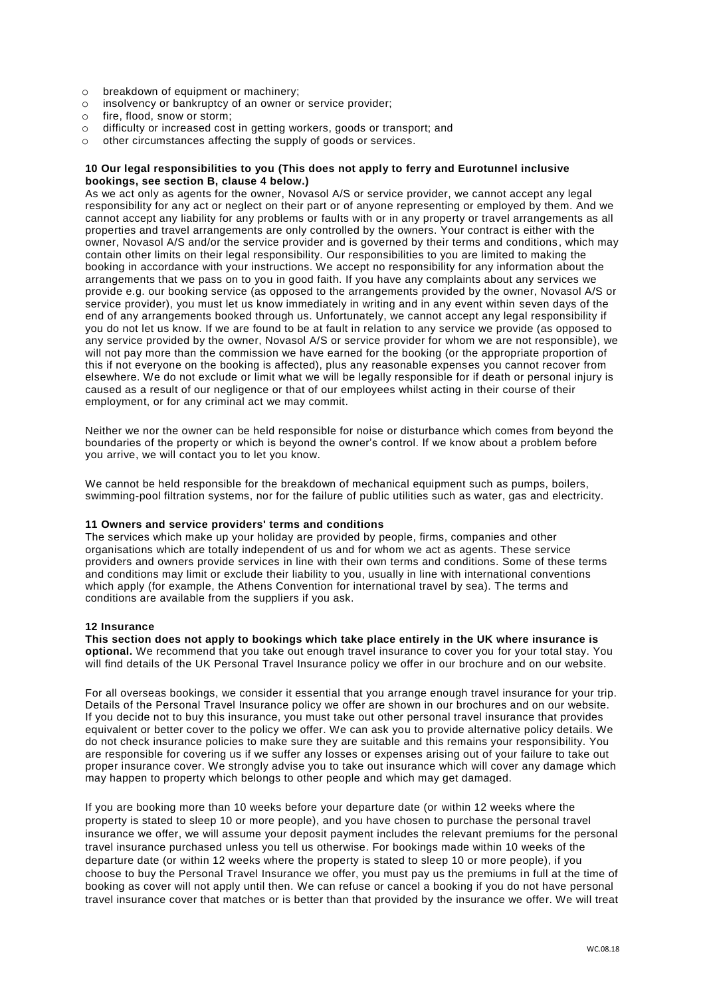- o breakdown of equipment or machinery;
- o insolvency or bankruptcy of an owner or service provider;
- o fire, flood, snow or storm;
- o difficulty or increased cost in getting workers, goods or transport; and
- o other circumstances affecting the supply of goods or services.

# **10 Our legal responsibilities to you (This does not apply to ferry and Eurotunnel inclusive bookings, see section B, clause 4 below.)**

As we act only as agents for the owner, Novasol A/S or service provider, we cannot accept any legal responsibility for any act or neglect on their part or of anyone representing or employed by them. And we cannot accept any liability for any problems or faults with or in any property or travel arrangements as all properties and travel arrangements are only controlled by the owners. Your contract is either with the owner, Novasol A/S and/or the service provider and is governed by their terms and conditions, which may contain other limits on their legal responsibility. Our responsibilities to you are limited to making the booking in accordance with your instructions. We accept no responsibility for any information about the arrangements that we pass on to you in good faith. If you have any complaints about any services we provide e.g. our booking service (as opposed to the arrangements provided by the owner, Novasol A/S or service provider), you must let us know immediately in writing and in any event within seven days of the end of any arrangements booked through us. Unfortunately, we cannot accept any legal responsibility if you do not let us know. If we are found to be at fault in relation to any service we provide (as opposed to any service provided by the owner, Novasol A/S or service provider for whom we are not responsible), we will not pay more than the commission we have earned for the booking (or the appropriate proportion of this if not everyone on the booking is affected), plus any reasonable expenses you cannot recover from elsewhere. We do not exclude or limit what we will be legally responsible for if death or personal injury is caused as a result of our negligence or that of our employees whilst acting in their course of their employment, or for any criminal act we may commit.

Neither we nor the owner can be held responsible for noise or disturbance which comes from beyond the boundaries of the property or which is beyond the owner's control. If we know about a problem before you arrive, we will contact you to let you know.

We cannot be held responsible for the breakdown of mechanical equipment such as pumps, boilers, swimming-pool filtration systems, nor for the failure of public utilities such as water, gas and electricity.

# **11 Owners and service providers' terms and conditions**

The services which make up your holiday are provided by people, firms, companies and other organisations which are totally independent of us and for whom we act as agents. These service providers and owners provide services in line with their own terms and conditions. Some of these terms and conditions may limit or exclude their liability to you, usually in line with international conventions which apply (for example, the Athens Convention for international travel by sea). The terms and conditions are available from the suppliers if you ask.

# **12 Insurance**

**This section does not apply to bookings which take place entirely in the UK where insurance is optional.** We recommend that you take out enough travel insurance to cover you for your total stay. You will find details of the UK Personal Travel Insurance policy we offer in our brochure and on our website.

For all overseas bookings, we consider it essential that you arrange enough travel insurance for your trip. Details of the Personal Travel Insurance policy we offer are shown in our brochures and on our website. If you decide not to buy this insurance, you must take out other personal travel insurance that provides equivalent or better cover to the policy we offer. We can ask you to provide alternative policy details. We do not check insurance policies to make sure they are suitable and this remains your responsibility. You are responsible for covering us if we suffer any losses or expenses arising out of your failure to take out proper insurance cover. We strongly advise you to take out insurance which will cover any damage which may happen to property which belongs to other people and which may get damaged.

If you are booking more than 10 weeks before your departure date (or within 12 weeks where the property is stated to sleep 10 or more people), and you have chosen to purchase the personal travel insurance we offer, we will assume your deposit payment includes the relevant premiums for the personal travel insurance purchased unless you tell us otherwise. For bookings made within 10 weeks of the departure date (or within 12 weeks where the property is stated to sleep 10 or more people), if you choose to buy the Personal Travel Insurance we offer, you must pay us the premiums in full at the time of booking as cover will not apply until then. We can refuse or cancel a booking if you do not have personal travel insurance cover that matches or is better than that provided by the insurance we offer. We will treat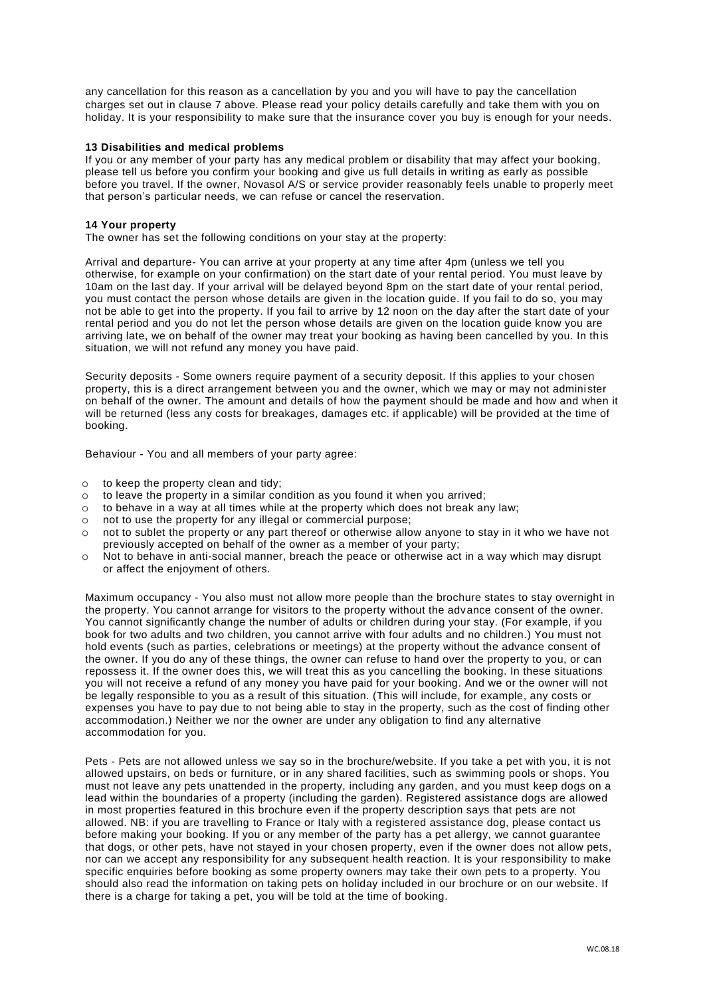any cancellation for this reason as a cancellation by you and you will have to pay the cancellation charges set out in clause 7 above. Please read your policy details carefully and take them with you on holiday. It is your responsibility to make sure that the insurance cover you buy is enough for your needs.

# **13 Disabilities and medical problems**

If you or any member of your party has any medical problem or disability that may affect your booking, please tell us before you confirm your booking and give us full details in writing as early as possible before you travel. If the owner, Novasol A/S or service provider reasonably feels unable to properly meet that person's particular needs, we can refuse or cancel the reservation.

# **14 Your property**

The owner has set the following conditions on your stay at the property:

Arrival and departure- You can arrive at your property at any time after 4pm (unless we tell you otherwise, for example on your confirmation) on the start date of your rental period. You must leave by 10am on the last day. If your arrival will be delayed beyond 8pm on the start date of your rental period, you must contact the person whose details are given in the location guide. If you fail to do so, you may not be able to get into the property. If you fail to arrive by 12 noon on the day after the start date of your rental period and you do not let the person whose details are given on the location guide know you are arriving late, we on behalf of the owner may treat your booking as having been cancelled by you. In this situation, we will not refund any money you have paid.

Security deposits - Some owners require payment of a security deposit. If this applies to your chosen property, this is a direct arrangement between you and the owner, which we may or may not administer on behalf of the owner. The amount and details of how the payment should be made and how and when it will be returned (less any costs for breakages, damages etc. if applicable) will be provided at the time of booking.

Behaviour - You and all members of your party agree:

- o to keep the property clean and tidy;
- $\circ$  to leave the property in a similar condition as you found it when you arrived;
- $\circ$  to behave in a way at all times while at the property which does not break any law;
- not to use the property for any illegal or commercial purpose;
- $\circ$  not to sublet the property or any part thereof or otherwise allow anyone to stay in it who we have not previously accepted on behalf of the owner as a member of your party;
- o Not to behave in anti-social manner, breach the peace or otherwise act in a way which may disrupt or affect the enjoyment of others.

Maximum occupancy - You also must not allow more people than the brochure states to stay overnight in the property. You cannot arrange for visitors to the property without the advance consent of the owner. You cannot significantly change the number of adults or children during your stay. (For example, if you book for two adults and two children, you cannot arrive with four adults and no children.) You must not hold events (such as parties, celebrations or meetings) at the property without the advance consent of the owner. If you do any of these things, the owner can refuse to hand over the property to you, or can repossess it. If the owner does this, we will treat this as you cancelling the booking. In these situations you will not receive a refund of any money you have paid for your booking. And we or the owner will not be legally responsible to you as a result of this situation. (This will include, for example, any costs or expenses you have to pay due to not being able to stay in the property, such as the cost of finding other accommodation.) Neither we nor the owner are under any obligation to find any alternative accommodation for you.

Pets - Pets are not allowed unless we say so in the brochure/website. If you take a pet with you, it is not allowed upstairs, on beds or furniture, or in any shared facilities, such as swimming pools or shops. You must not leave any pets unattended in the property, including any garden, and you must keep dogs on a lead within the boundaries of a property (including the garden). Registered assistance dogs are allowed in most properties featured in this brochure even if the property description says that pets are not allowed. NB: if you are travelling to France or Italy with a registered assistance dog, please contact us before making your booking. If you or any member of the party has a pet allergy, we cannot guarantee that dogs, or other pets, have not stayed in your chosen property, even if the owner does not allow pets, nor can we accept any responsibility for any subsequent health reaction. It is your responsibility to make specific enquiries before booking as some property owners may take their own pets to a property. You should also read the information on taking pets on holiday included in our brochure or on our website. If there is a charge for taking a pet, you will be told at the time of booking.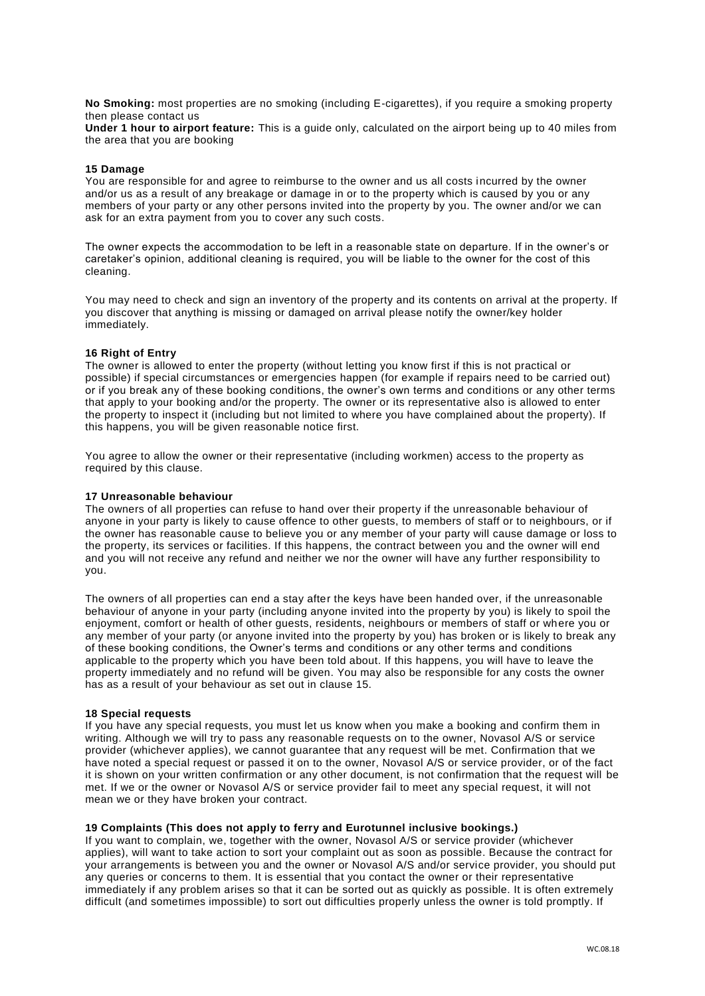**No Smoking:** most properties are no smoking (including E-cigarettes), if you require a smoking property then please contact us

**Under 1 hour to airport feature:** This is a guide only, calculated on the airport being up to 40 miles from the area that you are booking

#### **15 Damage**

You are responsible for and agree to reimburse to the owner and us all costs incurred by the owner and/or us as a result of any breakage or damage in or to the property which is caused by you or any members of your party or any other persons invited into the property by you. The owner and/or we can ask for an extra payment from you to cover any such costs.

The owner expects the accommodation to be left in a reasonable state on departure. If in the owner's or caretaker's opinion, additional cleaning is required, you will be liable to the owner for the cost of this cleaning.

You may need to check and sign an inventory of the property and its contents on arrival at the property. If you discover that anything is missing or damaged on arrival please notify the owner/key holder immediately.

#### **16 Right of Entry**

The owner is allowed to enter the property (without letting you know first if this is not practical or possible) if special circumstances or emergencies happen (for example if repairs need to be carried out) or if you break any of these booking conditions, the owner's own terms and conditions or any other terms that apply to your booking and/or the property. The owner or its representative also is allowed to enter the property to inspect it (including but not limited to where you have complained about the property). If this happens, you will be given reasonable notice first.

You agree to allow the owner or their representative (including workmen) access to the property as required by this clause.

#### **17 Unreasonable behaviour**

The owners of all properties can refuse to hand over their property if the unreasonable behaviour of anyone in your party is likely to cause offence to other guests, to members of staff or to neighbours, or if the owner has reasonable cause to believe you or any member of your party will cause damage or loss to the property, its services or facilities. If this happens, the contract between you and the owner will end and you will not receive any refund and neither we nor the owner will have any further responsibility to you.

The owners of all properties can end a stay after the keys have been handed over, if the unreasonable behaviour of anyone in your party (including anyone invited into the property by you) is likely to spoil the enjoyment, comfort or health of other guests, residents, neighbours or members of staff or where you or any member of your party (or anyone invited into the property by you) has broken or is likely to break any of these booking conditions, the Owner's terms and conditions or any other terms and conditions applicable to the property which you have been told about. If this happens, you will have to leave the property immediately and no refund will be given. You may also be responsible for any costs the owner has as a result of your behaviour as set out in clause 15.

#### **18 Special requests**

If you have any special requests, you must let us know when you make a booking and confirm them in writing. Although we will try to pass any reasonable requests on to the owner, Novasol A/S or service provider (whichever applies), we cannot guarantee that any request will be met. Confirmation that we have noted a special request or passed it on to the owner, Novasol A/S or service provider, or of the fact it is shown on your written confirmation or any other document, is not confirmation that the request will be met. If we or the owner or Novasol A/S or service provider fail to meet any special request, it will not mean we or they have broken your contract.

#### **19 Complaints (This does not apply to ferry and Eurotunnel inclusive bookings.)**

If you want to complain, we, together with the owner. Novasol A/S or service provider (whichever applies), will want to take action to sort your complaint out as soon as possible. Because the contract for your arrangements is between you and the owner or Novasol A/S and/or service provider, you should put any queries or concerns to them. It is essential that you contact the owner or their representative immediately if any problem arises so that it can be sorted out as quickly as possible. It is often extremely difficult (and sometimes impossible) to sort out difficulties properly unless the owner is told promptly. If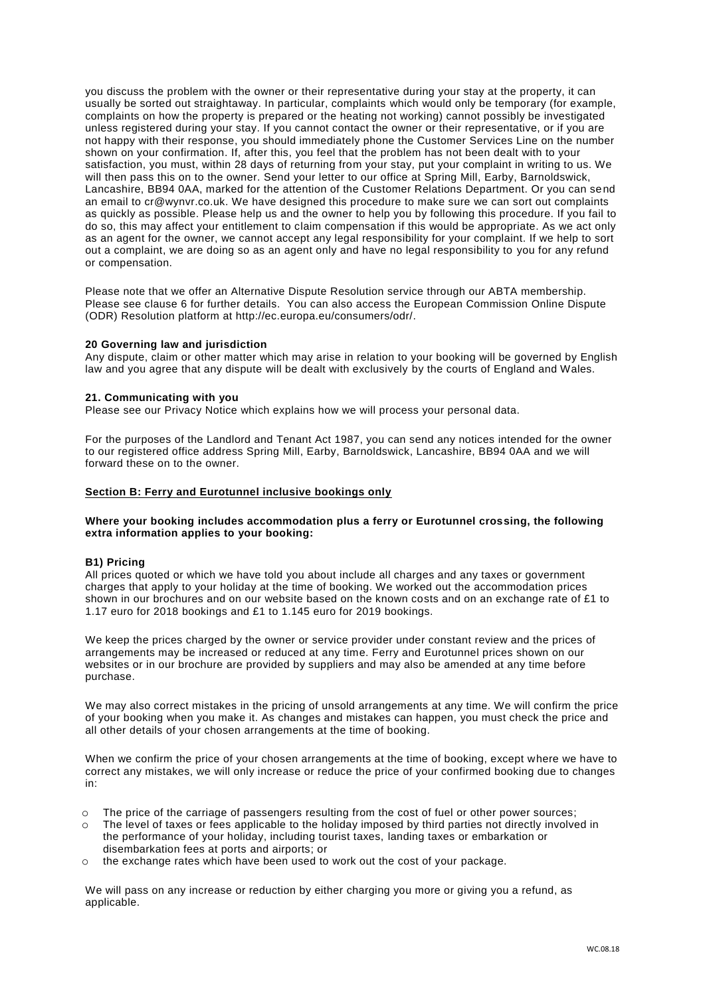you discuss the problem with the owner or their representative during your stay at the property, it can usually be sorted out straightaway. In particular, complaints which would only be temporary (for example, complaints on how the property is prepared or the heating not working) cannot possibly be investigated unless registered during your stay. If you cannot contact the owner or their representative, or if you are not happy with their response, you should immediately phone the Customer Services Line on the number shown on your confirmation. If, after this, you feel that the problem has not been dealt with to your satisfaction, you must, within 28 days of returning from your stay, put your complaint in writing to us. We will then pass this on to the owner. Send your letter to our office at Spring Mill, Earby, Barnoldswick, Lancashire, BB94 0AA, marked for the attention of the Customer Relations Department. Or you can send an email to cr@wynvr.co.uk. We have designed this procedure to make sure we can sort out complaints as quickly as possible. Please help us and the owner to help you by following this procedure. If you fail to do so, this may affect your entitlement to claim compensation if this would be appropriate. As we act only as an agent for the owner, we cannot accept any legal responsibility for your complaint. If we help to sort out a complaint, we are doing so as an agent only and have no legal responsibility to you for any refund or compensation.

Please note that we offer an Alternative Dispute Resolution service through our ABTA membership. Please see clause 6 for further details. You can also access the European Commission Online Dispute (ODR) Resolution platform at http://ec.europa.eu/consumers/odr/.

# **20 Governing law and jurisdiction**

Any dispute, claim or other matter which may arise in relation to your booking will be governed by English law and you agree that any dispute will be dealt with exclusively by the courts of England and Wales.

# **21. Communicating with you**

Please see our Privacy Notice which explains how we will process your personal data.

For the purposes of the Landlord and Tenant Act 1987, you can send any notices intended for the owner to our registered office address Spring Mill, Earby, Barnoldswick, Lancashire, BB94 0AA and we will forward these on to the owner.

# **Section B: Ferry and Eurotunnel inclusive bookings only**

# **Where your booking includes accommodation plus a ferry or Eurotunnel crossing, the following extra information applies to your booking:**

# **B1) Pricing**

All prices quoted or which we have told you about include all charges and any taxes or government charges that apply to your holiday at the time of booking. We worked out the accommodation prices shown in our brochures and on our website based on the known costs and on an exchange rate of £1 to 1.17 euro for 2018 bookings and £1 to 1.145 euro for 2019 bookings.

We keep the prices charged by the owner or service provider under constant review and the prices of arrangements may be increased or reduced at any time. Ferry and Eurotunnel prices shown on our websites or in our brochure are provided by suppliers and may also be amended at any time before purchase.

We may also correct mistakes in the pricing of unsold arrangements at any time. We will confirm the price of your booking when you make it. As changes and mistakes can happen, you must check the price and all other details of your chosen arrangements at the time of booking.

When we confirm the price of your chosen arrangements at the time of booking, except where we have to correct any mistakes, we will only increase or reduce the price of your confirmed booking due to changes in:

- o The price of the carriage of passengers resulting from the cost of fuel or other power sources;
- o The level of taxes or fees applicable to the holiday imposed by third parties not directly involved in the performance of your holiday, including tourist taxes, landing taxes or embarkation or disembarkation fees at ports and airports; or
- o the exchange rates which have been used to work out the cost of your package.

We will pass on any increase or reduction by either charging you more or giving you a refund, as applicable.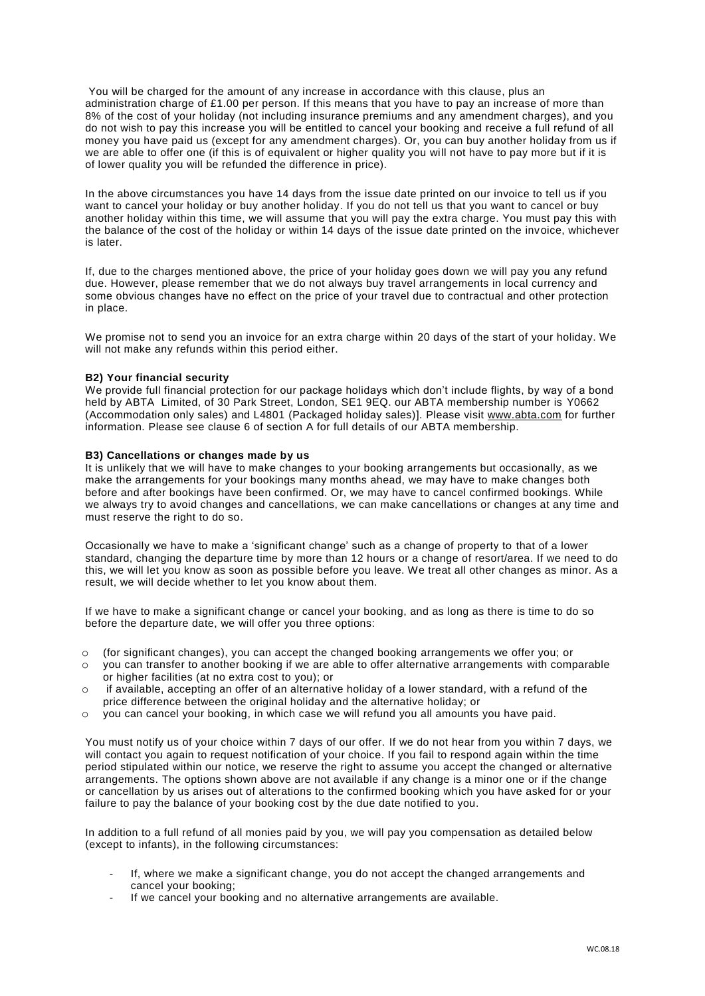You will be charged for the amount of any increase in accordance with this clause, plus an administration charge of £1.00 per person. If this means that you have to pay an increase of more than 8% of the cost of your holiday (not including insurance premiums and any amendment charges), and you do not wish to pay this increase you will be entitled to cancel your booking and receive a full refund of all money you have paid us (except for any amendment charges). Or, you can buy another holiday from us if we are able to offer one (if this is of equivalent or higher quality you will not have to pay more but if it is of lower quality you will be refunded the difference in price).

In the above circumstances you have 14 days from the issue date printed on our invoice to tell us if you want to cancel your holiday or buy another holiday. If you do not tell us that you want to cancel or buy another holiday within this time, we will assume that you will pay the extra charge. You must pay this with the balance of the cost of the holiday or within 14 days of the issue date printed on the invoice, whichever is later.

If, due to the charges mentioned above, the price of your holiday goes down we will pay you any refund due. However, please remember that we do not always buy travel arrangements in local currency and some obvious changes have no effect on the price of your travel due to contractual and other protection in place.

We promise not to send you an invoice for an extra charge within 20 days of the start of your holiday. We will not make any refunds within this period either.

#### **B2) Your financial security**

We provide full financial protection for our package holidays which don't include flights, by way of a bond held by ABTA Limited, of 30 Park Street, London, SE1 9EQ. our ABTA membership number is Y0662 (Accommodation only sales) and L4801 (Packaged holiday sales)]. Please visit [www.abta.com](http://www.abta.com/) for further information. Please see clause 6 of section A for full details of our ABTA membership.

#### **B3) Cancellations or changes made by us**

It is unlikely that we will have to make changes to your booking arrangements but occasionally, as we make the arrangements for your bookings many months ahead, we may have to make changes both before and after bookings have been confirmed. Or, we may have to cancel confirmed bookings. While we always try to avoid changes and cancellations, we can make cancellations or changes at any time and must reserve the right to do so.

Occasionally we have to make a 'significant change' such as a change of property to that of a lower standard, changing the departure time by more than 12 hours or a change of resort/area. If we need to do this, we will let you know as soon as possible before you leave. We treat all other changes as minor. As a result, we will decide whether to let you know about them.

If we have to make a significant change or cancel your booking, and as long as there is time to do so before the departure date, we will offer you three options:

- o (for significant changes), you can accept the changed booking arrangements we offer you; or
- o you can transfer to another booking if we are able to offer alternative arrangements with comparable or higher facilities (at no extra cost to you); or
- $\circ$  if available, accepting an offer of an alternative holiday of a lower standard, with a refund of the price difference between the original holiday and the alternative holiday; or
- o you can cancel your booking, in which case we will refund you all amounts you have paid.

You must notify us of your choice within 7 days of our offer. If we do not hear from you within 7 days, we will contact you again to request notification of your choice. If you fail to respond again within the time period stipulated within our notice, we reserve the right to assume you accept the changed or alternative arrangements. The options shown above are not available if any change is a minor one or if the change or cancellation by us arises out of alterations to the confirmed booking which you have asked for or your failure to pay the balance of your booking cost by the due date notified to you.

In addition to a full refund of all monies paid by you, we will pay you compensation as detailed below (except to infants), in the following circumstances:

- If, where we make a significant change, you do not accept the changed arrangements and cancel your booking;
- If we cancel your booking and no alternative arrangements are available.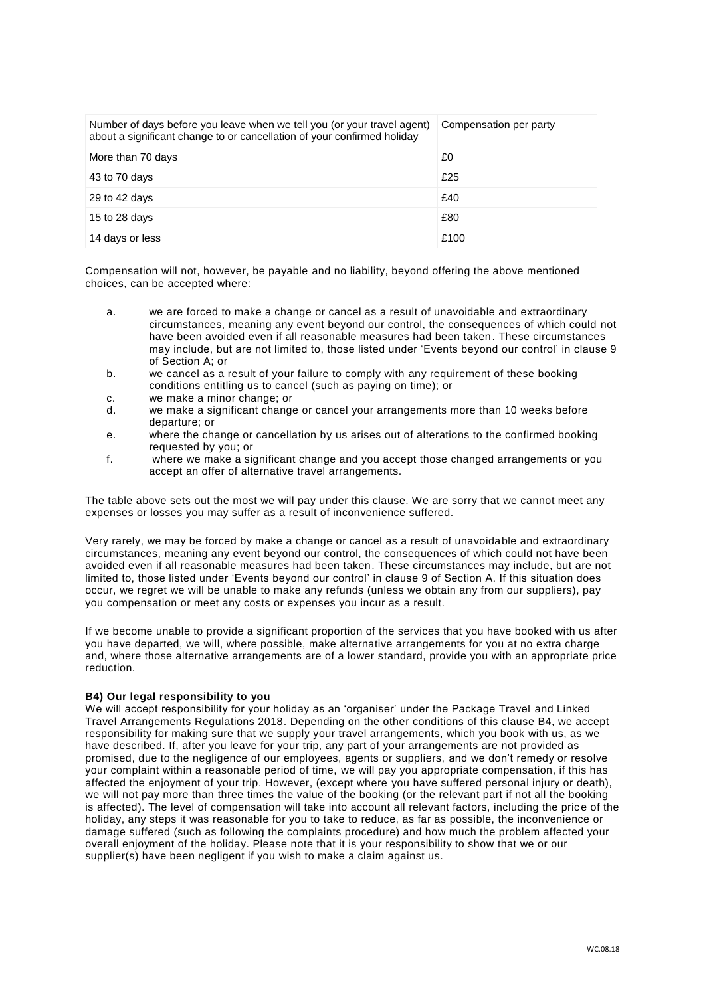| Number of days before you leave when we tell you (or your travel agent)<br>about a significant change to or cancellation of your confirmed holiday | Compensation per party |
|----------------------------------------------------------------------------------------------------------------------------------------------------|------------------------|
| More than 70 days                                                                                                                                  | £0                     |
| 43 to 70 days                                                                                                                                      | £25                    |
| 29 to 42 days                                                                                                                                      | £40                    |
| 15 to 28 days                                                                                                                                      | £80                    |
| 14 days or less                                                                                                                                    | £100                   |

Compensation will not, however, be payable and no liability, beyond offering the above mentioned choices, can be accepted where:

- a. we are forced to make a change or cancel as a result of unavoidable and extraordinary circumstances, meaning any event beyond our control, the consequences of which could not have been avoided even if all reasonable measures had been taken. These circumstances may include, but are not limited to, those listed under 'Events beyond our control' in clause 9 of Section A; or
- b. we cancel as a result of your failure to comply with any requirement of these booking conditions entitling us to cancel (such as paying on time); or
- c. we make a minor change; or
- d. we make a significant change or cancel your arrangements more than 10 weeks before departure; or
- e. where the change or cancellation by us arises out of alterations to the confirmed booking requested by you; or
- f. where we make a significant change and you accept those changed arrangements or you accept an offer of alternative travel arrangements.

The table above sets out the most we will pay under this clause. We are sorry that we cannot meet any expenses or losses you may suffer as a result of inconvenience suffered.

Very rarely, we may be forced by make a change or cancel as a result of unavoidable and extraordinary circumstances, meaning any event beyond our control, the consequences of which could not have been avoided even if all reasonable measures had been taken. These circumstances may include, but are not limited to, those listed under 'Events beyond our control' in clause 9 of Section A. If this situation does occur, we regret we will be unable to make any refunds (unless we obtain any from our suppliers), pay you compensation or meet any costs or expenses you incur as a result.

If we become unable to provide a significant proportion of the services that you have booked with us after you have departed, we will, where possible, make alternative arrangements for you at no extra charge and, where those alternative arrangements are of a lower standard, provide you with an appropriate price reduction.

# **B4) Our legal responsibility to you**

We will accept responsibility for your holiday as an 'organiser' under the Package Travel and Linked Travel Arrangements Regulations 2018. Depending on the other conditions of this clause B4, we accept responsibility for making sure that we supply your travel arrangements, which you book with us, as we have described. If, after you leave for your trip, any part of your arrangements are not provided as promised, due to the negligence of our employees, agents or suppliers, and we don't remedy or resolve your complaint within a reasonable period of time, we will pay you appropriate compensation, if this has affected the enjoyment of your trip. However, (except where you have suffered personal injury or death), we will not pay more than three times the value of the booking (or the relevant part if not all the booking is affected). The level of compensation will take into account all relevant factors, including the price of the holiday, any steps it was reasonable for you to take to reduce, as far as possible, the inconvenience or damage suffered (such as following the complaints procedure) and how much the problem affected your overall enjoyment of the holiday. Please note that it is your responsibility to show that we or our supplier(s) have been negligent if you wish to make a claim against us.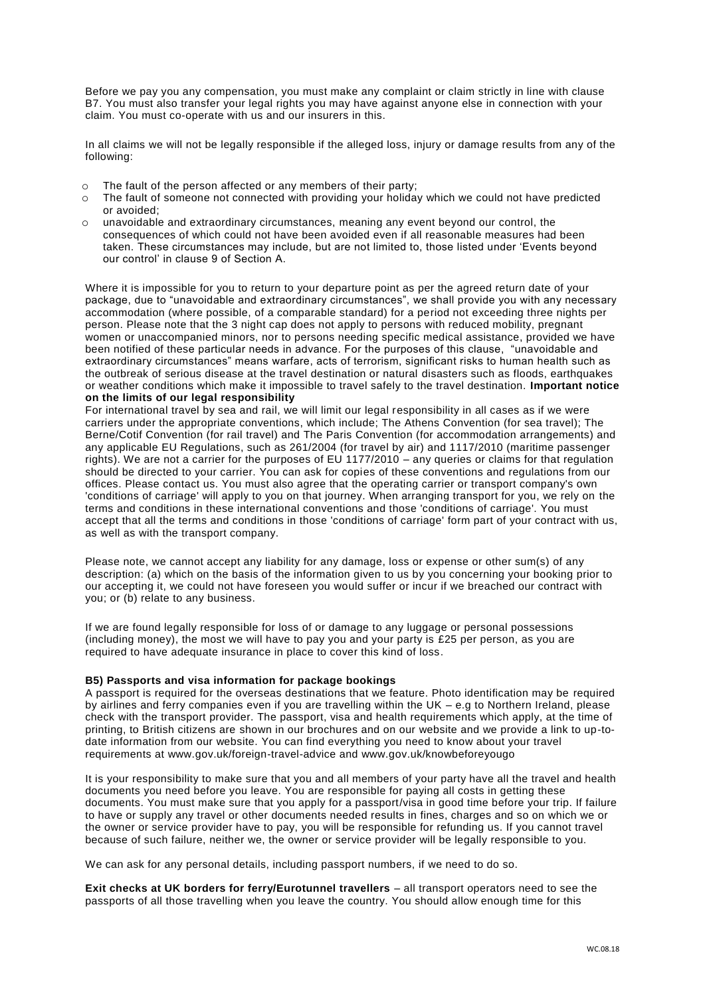Before we pay you any compensation, you must make any complaint or claim strictly in line with clause B7. You must also transfer your legal rights you may have against anyone else in connection with your claim. You must co-operate with us and our insurers in this.

In all claims we will not be legally responsible if the alleged loss, injury or damage results from any of the following:

- o The fault of the person affected or any members of their party;
- o The fault of someone not connected with providing your holiday which we could not have predicted or avoided;
- unavoidable and extraordinary circumstances, meaning any event beyond our control, the consequences of which could not have been avoided even if all reasonable measures had been taken. These circumstances may include, but are not limited to, those listed under 'Events beyond our control' in clause 9 of Section A.

Where it is impossible for you to return to your departure point as per the agreed return date of your package, due to "unavoidable and extraordinary circumstances", we shall provide you with any necessary accommodation (where possible, of a comparable standard) for a period not exceeding three nights per person. Please note that the 3 night cap does not apply to persons with reduced mobility, pregnant women or unaccompanied minors, nor to persons needing specific medical assistance, provided we have been notified of these particular needs in advance. For the purposes of this clause, "unavoidable and extraordinary circumstances" means warfare, acts of terrorism, significant risks to human health such as the outbreak of serious disease at the travel destination or natural disasters such as floods, earthquakes or weather conditions which make it impossible to travel safely to the travel destination. **Important notice on the limits of our legal responsibility**

For international travel by sea and rail, we will limit our legal responsibility in all cases as if we were carriers under the appropriate conventions, which include; The Athens Convention (for sea travel); The Berne/Cotif Convention (for rail travel) and The Paris Convention (for accommodation arrangements) and any applicable EU Regulations, such as 261/2004 (for travel by air) and 1117/2010 (maritime passenger rights). We are not a carrier for the purposes of EU 1177/2010 – any queries or claims for that regulation should be directed to your carrier. You can ask for copies of these conventions and regulations from our offices. Please contact us. You must also agree that the operating carrier or transport company's own 'conditions of carriage' will apply to you on that journey. When arranging transport for you, we rely on the terms and conditions in these international conventions and those 'conditions of carriage'. You must accept that all the terms and conditions in those 'conditions of carriage' form part of your contract with us, as well as with the transport company.

Please note, we cannot accept any liability for any damage, loss or expense or other sum(s) of any description: (a) which on the basis of the information given to us by you concerning your booking prior to our accepting it, we could not have foreseen you would suffer or incur if we breached our contract with you; or (b) relate to any business.

If we are found legally responsible for loss of or damage to any luggage or personal possessions (including money), the most we will have to pay you and your party is £25 per person, as you are required to have adequate insurance in place to cover this kind of loss.

# **B5) Passports and visa information for package bookings**

A passport is required for the overseas destinations that we feature. Photo identification may be required by airlines and ferry companies even if you are travelling within the UK – e.g to Northern Ireland, please check with the transport provider. The passport, visa and health requirements which apply, at the time of printing, to British citizens are shown in our brochures and on our website and we provide a link to up-todate information from our website. You can find everything you need to know about your travel requirements at www.gov.uk/foreign-travel-advice and www.gov.uk/knowbeforeyougo

It is your responsibility to make sure that you and all members of your party have all the travel and health documents you need before you leave. You are responsible for paying all costs in getting these documents. You must make sure that you apply for a passport/visa in good time before your trip. If failure to have or supply any travel or other documents needed results in fines, charges and so on which we or the owner or service provider have to pay, you will be responsible for refunding us. If you cannot travel because of such failure, neither we, the owner or service provider will be legally responsible to you.

We can ask for any personal details, including passport numbers, if we need to do so.

**Exit checks at UK borders for ferry/Eurotunnel travellers** – all transport operators need to see the passports of all those travelling when you leave the country. You should allow enough time for this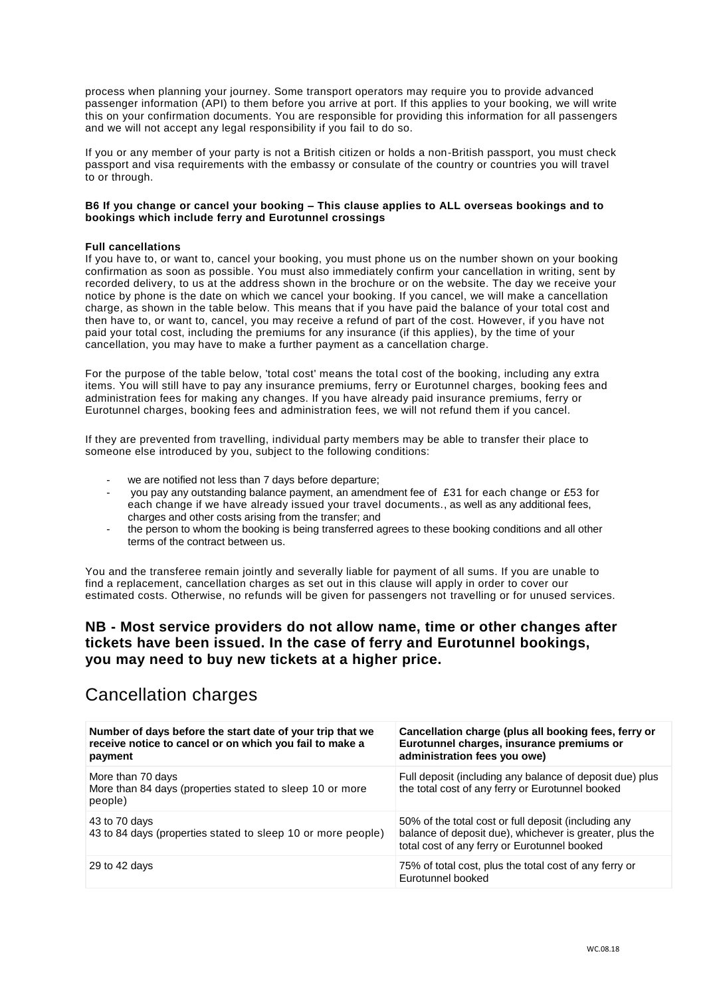process when planning your journey. Some transport operators may require you to provide advanced passenger information (API) to them before you arrive at port. If this applies to your booking, we will write this on your confirmation documents. You are responsible for providing this information for all passengers and we will not accept any legal responsibility if you fail to do so.

If you or any member of your party is not a British citizen or holds a non-British passport, you must check passport and visa requirements with the embassy or consulate of the country or countries you will travel to or through.

# **B6 If you change or cancel your booking – This clause applies to ALL overseas bookings and to bookings which include ferry and Eurotunnel crossings**

# **Full cancellations**

If you have to, or want to, cancel your booking, you must phone us on the number shown on your booking confirmation as soon as possible. You must also immediately confirm your cancellation in writing, sent by recorded delivery, to us at the address shown in the brochure or on the website. The day we receive your notice by phone is the date on which we cancel your booking. If you cancel, we will make a cancellation charge, as shown in the table below. This means that if you have paid the balance of your total cost and then have to, or want to, cancel, you may receive a refund of part of the cost. However, if you have not paid your total cost, including the premiums for any insurance (if this applies), by the time of your cancellation, you may have to make a further payment as a cancellation charge.

For the purpose of the table below, 'total cost' means the total cost of the booking, including any extra items. You will still have to pay any insurance premiums, ferry or Eurotunnel charges, booking fees and administration fees for making any changes. If you have already paid insurance premiums, ferry or Eurotunnel charges, booking fees and administration fees, we will not refund them if you cancel.

If they are prevented from travelling, individual party members may be able to transfer their place to someone else introduced by you, subject to the following conditions:

- we are notified not less than 7 days before departure;
- you pay any outstanding balance payment, an amendment fee of £31 for each change or £53 for each change if we have already issued your travel documents., as well as any additional fees, charges and other costs arising from the transfer; and
- the person to whom the booking is being transferred agrees to these booking conditions and all other terms of the contract between us.

You and the transferee remain jointly and severally liable for payment of all sums. If you are unable to find a replacement, cancellation charges as set out in this clause will apply in order to cover our estimated costs. Otherwise, no refunds will be given for passengers not travelling or for unused services.

# **NB - Most service providers do not allow name, time or other changes after tickets have been issued. In the case of ferry and Eurotunnel bookings, you may need to buy new tickets at a higher price.**

# Cancellation charges

| Number of days before the start date of your trip that we<br>receive notice to cancel or on which you fail to make a<br>payment | Cancellation charge (plus all booking fees, ferry or<br>Eurotunnel charges, insurance premiums or<br>administration fees you owe)                               |
|---------------------------------------------------------------------------------------------------------------------------------|-----------------------------------------------------------------------------------------------------------------------------------------------------------------|
| More than 70 days<br>More than 84 days (properties stated to sleep 10 or more<br>people)                                        | Full deposit (including any balance of deposit due) plus<br>the total cost of any ferry or Eurotunnel booked                                                    |
| 43 to 70 days<br>43 to 84 days (properties stated to sleep 10 or more people)                                                   | 50% of the total cost or full deposit (including any<br>balance of deposit due), whichever is greater, plus the<br>total cost of any ferry or Eurotunnel booked |
| 29 to 42 days                                                                                                                   | 75% of total cost, plus the total cost of any ferry or<br>Eurotunnel booked                                                                                     |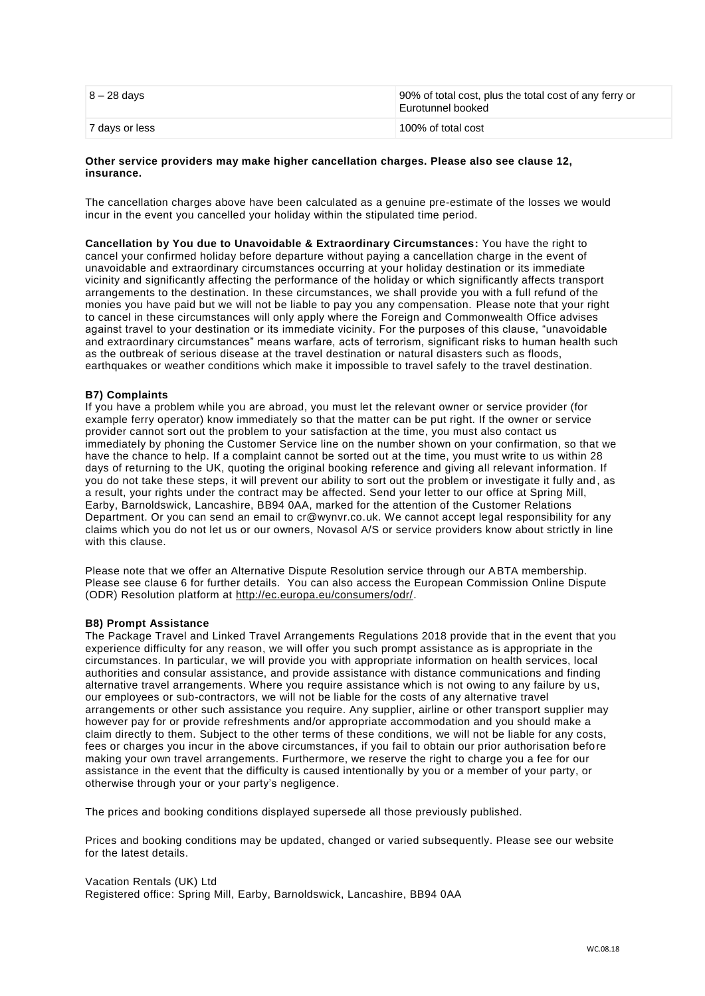| $8 - 28$ days  | 90% of total cost, plus the total cost of any ferry or<br>Eurotunnel booked |
|----------------|-----------------------------------------------------------------------------|
| 7 days or less | 100% of total cost                                                          |

# **Other service providers may make higher cancellation charges. Please also see clause 12, insurance.**

The cancellation charges above have been calculated as a genuine pre-estimate of the losses we would incur in the event you cancelled your holiday within the stipulated time period.

**Cancellation by You due to Unavoidable & Extraordinary Circumstances:** You have the right to cancel your confirmed holiday before departure without paying a cancellation charge in the event of unavoidable and extraordinary circumstances occurring at your holiday destination or its immediate vicinity and significantly affecting the performance of the holiday or which significantly affects transport arrangements to the destination. In these circumstances, we shall provide you with a full refund of the monies you have paid but we will not be liable to pay you any compensation. Please note that your right to cancel in these circumstances will only apply where the Foreign and Commonwealth Office advises against travel to your destination or its immediate vicinity. For the purposes of this clause, "unavoidable and extraordinary circumstances" means warfare, acts of terrorism, significant risks to human health such as the outbreak of serious disease at the travel destination or natural disasters such as floods, earthquakes or weather conditions which make it impossible to travel safely to the travel destination.

# **B7) Complaints**

If you have a problem while you are abroad, you must let the relevant owner or service provider (for example ferry operator) know immediately so that the matter can be put right. If the owner or service provider cannot sort out the problem to your satisfaction at the time, you must also contact us immediately by phoning the Customer Service line on the number shown on your confirmation, so that we have the chance to help. If a complaint cannot be sorted out at the time, you must write to us within 28 days of returning to the UK, quoting the original booking reference and giving all relevant information. If you do not take these steps, it will prevent our ability to sort out the problem or investigate it fully and , as a result, your rights under the contract may be affected. Send your letter to our office at Spring Mill, Earby, Barnoldswick, Lancashire, BB94 0AA, marked for the attention of the Customer Relations Department. Or you can send an email to cr@wynvr.co.uk. We cannot accept legal responsibility for any claims which you do not let us or our owners, Novasol A/S or service providers know about strictly in line with this clause.

Please note that we offer an Alternative Dispute Resolution service through our ABTA membership. Please see clause 6 for further details. You can also access the European Commission Online Dispute (ODR) Resolution platform at [http://ec.europa.eu/consumers/odr/.](http://ec.europa.eu/consumers/odr/)

# **B8) Prompt Assistance**

The Package Travel and Linked Travel Arrangements Regulations 2018 provide that in the event that you experience difficulty for any reason, we will offer you such prompt assistance as is appropriate in the circumstances. In particular, we will provide you with appropriate information on health services, local authorities and consular assistance, and provide assistance with distance communications and finding alternative travel arrangements. Where you require assistance which is not owing to any failure by us, our employees or sub-contractors, we will not be liable for the costs of any alternative travel arrangements or other such assistance you require. Any supplier, airline or other transport supplier may however pay for or provide refreshments and/or appropriate accommodation and you should make a claim directly to them. Subject to the other terms of these conditions, we will not be liable for any costs, fees or charges you incur in the above circumstances, if you fail to obtain our prior authorisation befo re making your own travel arrangements. Furthermore, we reserve the right to charge you a fee for our assistance in the event that the difficulty is caused intentionally by you or a member of your party, or otherwise through your or your party's negligence.

The prices and booking conditions displayed supersede all those previously published.

Prices and booking conditions may be updated, changed or varied subsequently. Please see our website for the latest details.

Vacation Rentals (UK) Ltd Registered office: Spring Mill, Earby, Barnoldswick, Lancashire, BB94 0AA